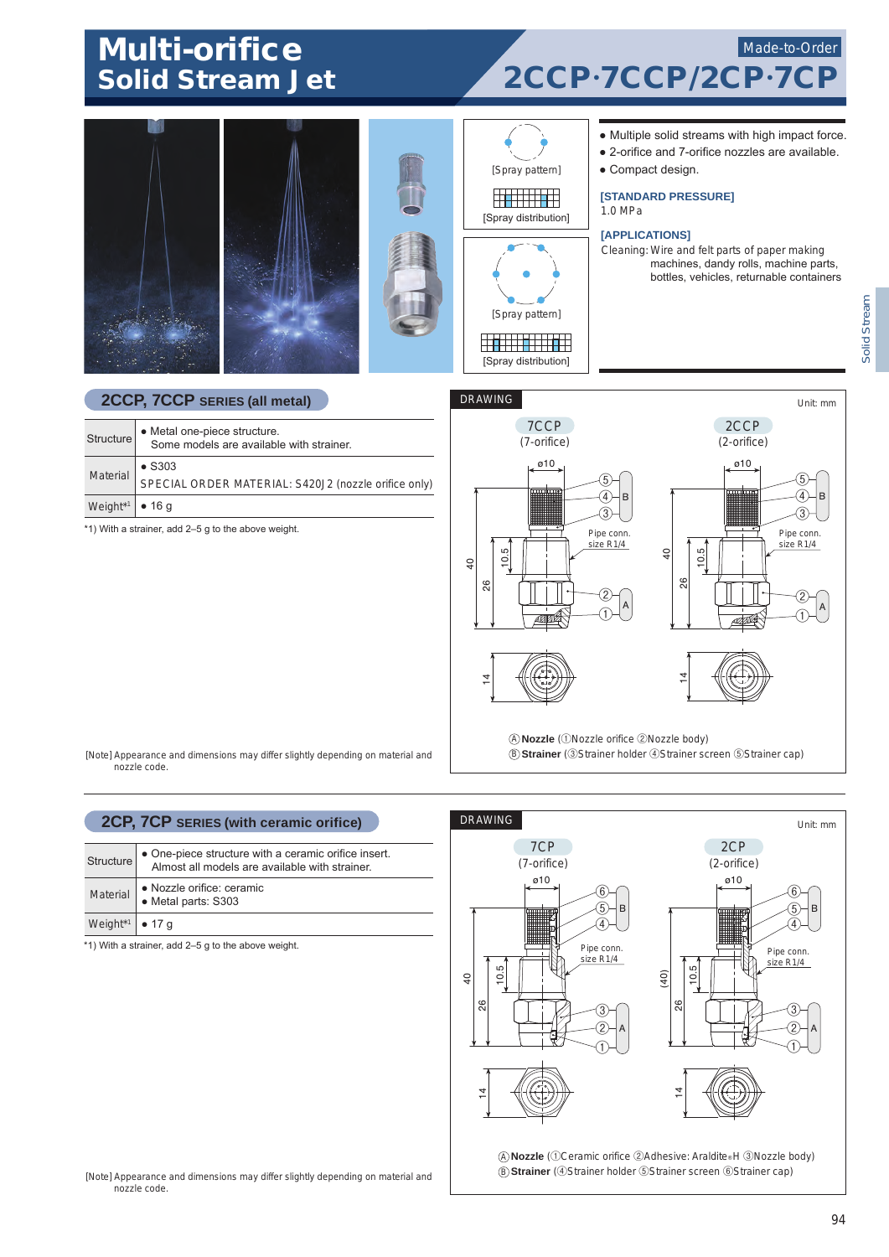# Multi-orifice

## Solid Stream Jet 2CCP.7CCP/2CP. Made-to-Order





[Spray distribution]

#### ● Multiple solid streams with high impact force.

- 2-orifice and 7-orifice nozzles are available.
- Compact design.

**[STANDARD PRESSURE]**

1.0 MPa

#### **[APPLICATIONS]**

Cleaning: Wire and felt parts of paper making machines, dandy rolls, machine parts, bottles, vehicles, returnable containers

### **2CCP, 7CCP SERIES (all metal)**

| Structure                           | • Metal one-piece structure.<br>Some models are available with strainer. |
|-------------------------------------|--------------------------------------------------------------------------|
| <b>Material</b>                     | $\bullet$ S303                                                           |
|                                     | SPECIAL ORDER MATERIAL: S420J2 (nozzle orifice only)                     |
| Weight <sup>*1</sup> $\bullet$ 16 q |                                                                          |

\*1) With a strainer, add 2–5 g to the above weight.



[Note] Appearance and dimensions may differ slightly depending on material and nozzle code.

# **2CP, 7CP SERIES (with ceramic orifice)**

| Structure                   | • One-piece structure with a ceramic orifice insert.<br>Almost all models are available with strainer. |
|-----------------------------|--------------------------------------------------------------------------------------------------------|
| Material                    | • Nozzle orifice: ceramic<br>· Metal parts: S303                                                       |
| Weight* <sup>1</sup> • 17 g |                                                                                                        |

\*1) With a strainer, add 2–5 g to the above weight.



A **Nozzle** (①Ceramic orifice ②Adhesive: Araldite® H ③Nozzle body) B **Strainer** (④Strainer holder ⑤Strainer screen ⑥Strainer cap)

[Note] Appearance and dimensions may differ slightly depending on material and nozzle code.